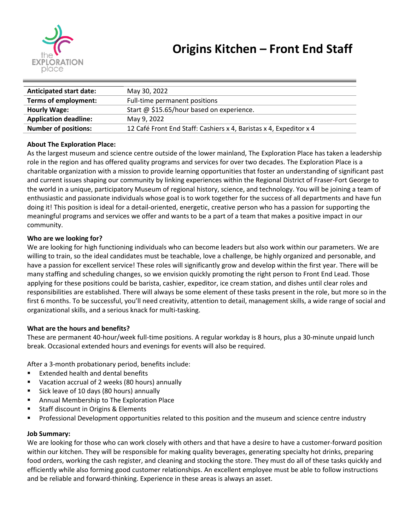

| <b>Anticipated start date:</b> | May 30, 2022                                                       |
|--------------------------------|--------------------------------------------------------------------|
| Terms of employment:           | Full-time permanent positions                                      |
| <b>Hourly Wage:</b>            | Start @ \$15.65/hour based on experience.                          |
| <b>Application deadline:</b>   | May 9, 2022                                                        |
| <b>Number of positions:</b>    | 12 Café Front End Staff: Cashiers x 4, Baristas x 4, Expeditor x 4 |

# **About The Exploration Place:**

As the largest museum and science centre outside of the lower mainland, The Exploration Place has taken a leadership role in the region and has offered quality programs and services for over two decades. The Exploration Place is a charitable organization with a mission to provide learning opportunities that foster an understanding of significant past and current issues shaping our community by linking experiences within the Regional District of Fraser-Fort George to the world in a unique, participatory Museum of regional history, science, and technology. You will be joining a team of enthusiastic and passionate individuals whose goal is to work together for the success of all departments and have fun doing it! This position is ideal for a detail-oriented, energetic, creative person who has a passion for supporting the meaningful programs and services we offer and wants to be a part of a team that makes a positive impact in our community.

# **Who are we looking for?**

We are looking for high functioning individuals who can become leaders but also work within our parameters. We are willing to train, so the ideal candidates must be teachable, love a challenge, be highly organized and personable, and have a passion for excellent service! These roles will significantly grow and develop within the first year. There will be many staffing and scheduling changes, so we envision quickly promoting the right person to Front End Lead. Those applying for these positions could be barista, cashier, expeditor, ice cream station, and dishes until clear roles and responsibilities are established. There will always be some element of these tasks present in the role, but more so in the first 6 months. To be successful, you'll need creativity, attention to detail, management skills, a wide range of social and organizational skills, and a serious knack for multi-tasking.

### **What are the hours and benefits?**

These are permanent 40-hour/week full-time positions. A regular workday is 8 hours, plus a 30-minute unpaid lunch break. Occasional extended hours and evenings for events will also be required.

After a 3-month probationary period, benefits include:

- Extended health and dental benefits
- Vacation accrual of 2 weeks (80 hours) annually
- Sick leave of 10 days (80 hours) annually
- Annual Membership to The Exploration Place
- Staff discount in Origins & Elements
- Professional Development opportunities related to this position and the museum and science centre industry

### **Job Summary:**

We are looking for those who can work closely with others and that have a desire to have a customer-forward position within our kitchen. They will be responsible for making quality beverages, generating specialty hot drinks, preparing food orders, working the cash register, and cleaning and stocking the store. They must do all of these tasks quickly and efficiently while also forming good customer relationships. An excellent employee must be able to follow instructions and be reliable and forward-thinking. Experience in these areas is always an asset.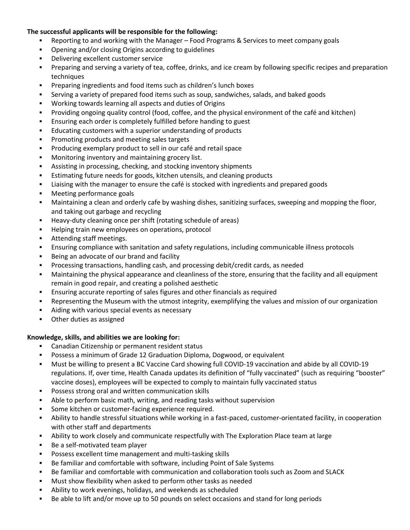# **The successful applicants will be responsible for the following:**

- Reporting to and working with the Manager Food Programs & Services to meet company goals
- Opening and/or closing Origins according to guidelines
- Delivering excellent customer service
- Preparing and serving a variety of tea, coffee, drinks, and ice cream by following specific recipes and preparation techniques
- Preparing ingredients and food items such as children's lunch boxes
- Serving a variety of prepared food items such as soup, sandwiches, salads, and baked goods
- Working towards learning all aspects and duties of Origins
- Providing ongoing quality control (food, coffee, and the physical environment of the café and kitchen)
- Ensuring each order is completely fulfilled before handing to guest
- Educating customers with a superior understanding of products
- Promoting products and meeting sales targets
- Producing exemplary product to sell in our café and retail space
- Monitoring inventory and maintaining grocery list.
- Assisting in processing, checking, and stocking inventory shipments
- Estimating future needs for goods, kitchen utensils, and cleaning products
- **EXECT** Liaising with the manager to ensure the café is stocked with ingredients and prepared goods
- Meeting performance goals
- Maintaining a clean and orderly cafe by washing dishes, sanitizing surfaces, sweeping and mopping the floor, and taking out garbage and recycling
- Heavy-duty cleaning once per shift (rotating schedule of areas)
- Helping train new employees on operations, protocol
- Attending staff meetings.
- Ensuring compliance with sanitation and safety regulations, including communicable illness protocols
- Being an advocate of our brand and facility
- Processing transactions, handling cash, and processing debit/credit cards, as needed
- Maintaining the physical appearance and cleanliness of the store, ensuring that the facility and all equipment remain in good repair, and creating a polished aesthetic
- Ensuring accurate reporting of sales figures and other financials as required
- Representing the Museum with the utmost integrity, exemplifying the values and mission of our organization
- Aiding with various special events as necessary
- Other duties as assigned

### **Knowledge, skills, and abilities we are looking for:**

- Canadian Citizenship or permanent resident status
- Possess a minimum of Grade 12 Graduation Diploma, Dogwood, or equivalent
- Must be willing to present a BC Vaccine Card showing full COVID-19 vaccination and abide by all COVID-19 regulations. If, over time, Health Canada updates its definition of "fully vaccinated" (such as requiring "booster" vaccine doses), employees will be expected to comply to maintain fully vaccinated status
- Possess strong oral and written communication skills
- Able to perform basic math, writing, and reading tasks without supervision
- Some kitchen or customer-facing experience required.
- Ability to handle stressful situations while working in a fast-paced, customer-orientated facility, in cooperation with other staff and departments
- **•** Ability to work closely and communicate respectfully with The Exploration Place team at large
- Be a self-motivated team player
- Possess excellent time management and multi-tasking skills
- Be familiar and comfortable with software, including Point of Sale Systems
- Be familiar and comfortable with communication and collaboration tools such as Zoom and SLACK
- Must show flexibility when asked to perform other tasks as needed
- Ability to work evenings, holidays, and weekends as scheduled
- Be able to lift and/or move up to 50 pounds on select occasions and stand for long periods